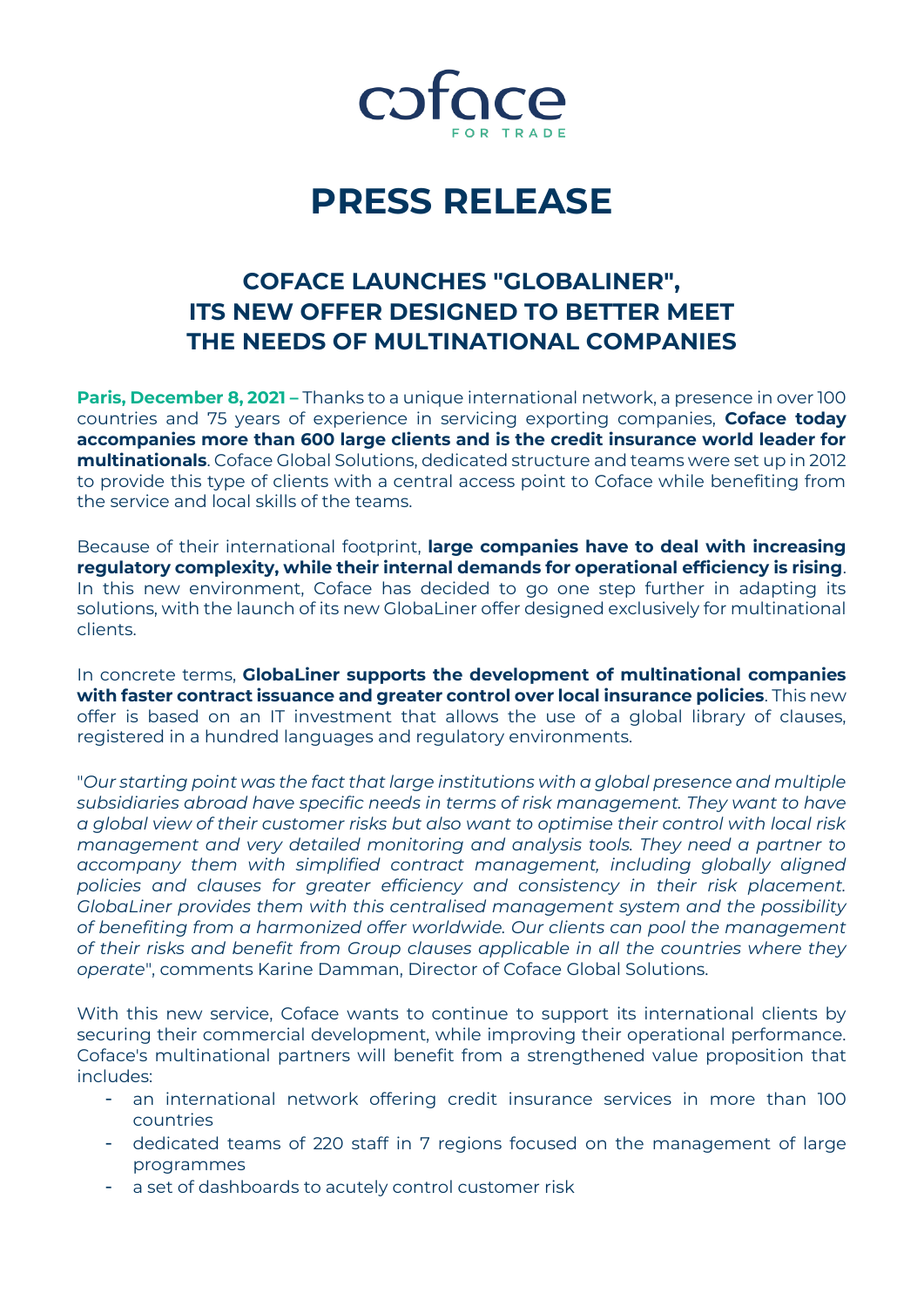

# **PRESS RELEASE**

## **COFACE LAUNCHES "GLOBALINER", ITS NEW OFFER DESIGNED TO BETTER MEET THE NEEDS OF MULTINATIONAL COMPANIES**

**Paris, December 8, 2021** – Thanks to a unique international network, a presence in over 100 countries and 75 years of experience in servicing exporting companies, **Coface today accompanies more than 600 large clients and is the credit insurance world leader for multinationals**. Coface Global Solutions, dedicated structure and teams were set up in 2012 to provide this type of clients with a central access point to Coface while benefiting from the service and local skills of the teams.

Because of their international footprint, **large companies have to deal with increasing regulatory complexity, while their internal demands for operational efficiency is rising**. In this new environment, Coface has decided to go one step further in adapting its solutions, with the launch of its new GlobaLiner offer designed exclusively for multinational clients.

In concrete terms, **GlobaLiner supports the development of multinational companies with faster contract issuance and greater control over local insurance policies**. This new offer is based on an IT investment that allows the use of a global library of clauses, registered in a hundred languages and regulatory environments.

"*Our starting point was the fact that large institutions with a global presence and multiple subsidiaries abroad have specific needs in terms of risk management. They want to have a global view of their customer risks but also want to optimise their control with local risk management and very detailed monitoring and analysis tools. They need a partner to accompany them with simplified contract management, including globally aligned policies and clauses for greater efficiency and consistency in their risk placement. GlobaLiner provides them with this centralised management system and the possibility of benefiting from a harmonized offer worldwide. Our clients can pool the management of their risks and benefit from Group clauses applicable in all the countries where they operate*", comments Karine Damman, Director of Coface Global Solutions.

With this new service, Coface wants to continue to support its international clients by securing their commercial development, while improving their operational performance. Coface's multinational partners will benefit from a strengthened value proposition that includes:

- an international network offering credit insurance services in more than 100 countries
- dedicated teams of 220 staff in 7 regions focused on the management of large programmes
- a set of dashboards to acutely control customer risk